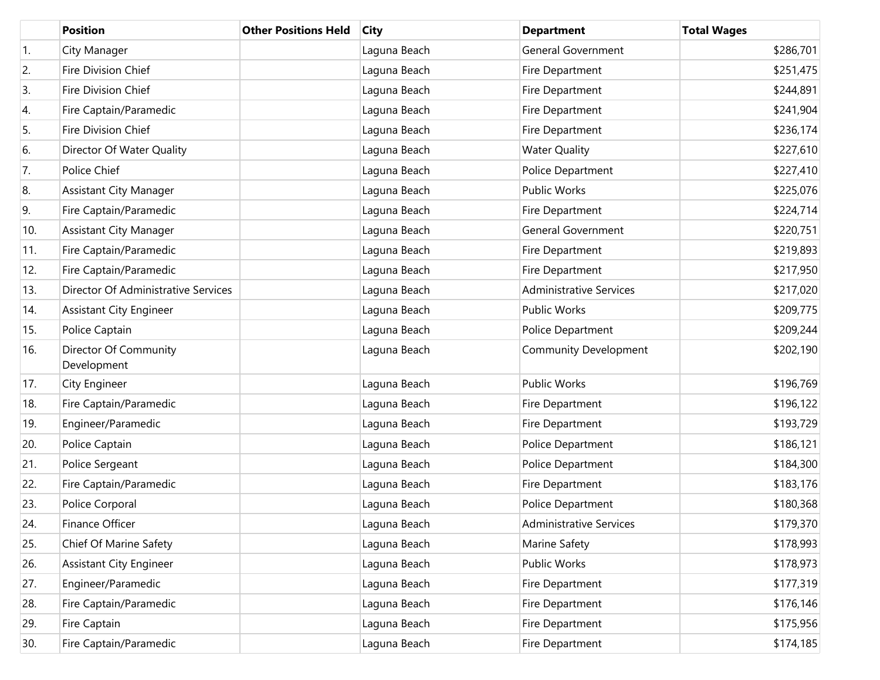|                  | <b>Position</b>                      | <b>Other Positions Held</b> | <b>City</b>  | <b>Department</b>              | <b>Total Wages</b> |
|------------------|--------------------------------------|-----------------------------|--------------|--------------------------------|--------------------|
| $\overline{1}$ . | City Manager                         |                             | Laguna Beach | <b>General Government</b>      | \$286,701          |
| 2.               | Fire Division Chief                  |                             | Laguna Beach | Fire Department                | \$251,475          |
| 3.               | Fire Division Chief                  |                             | Laguna Beach | Fire Department                | \$244,891          |
| 4.               | Fire Captain/Paramedic               |                             | Laguna Beach | Fire Department                | \$241,904          |
| 5.               | Fire Division Chief                  |                             | Laguna Beach | Fire Department                | \$236,174          |
| 6.               | Director Of Water Quality            |                             | Laguna Beach | <b>Water Quality</b>           | \$227,610          |
| 7.               | Police Chief                         |                             | Laguna Beach | Police Department              | \$227,410          |
| 8.               | Assistant City Manager               |                             | Laguna Beach | Public Works                   | \$225,076          |
| 9.               | Fire Captain/Paramedic               |                             | Laguna Beach | Fire Department                | \$224,714          |
| 10.              | <b>Assistant City Manager</b>        |                             | Laguna Beach | <b>General Government</b>      | \$220,751          |
| 11.              | Fire Captain/Paramedic               |                             | Laguna Beach | Fire Department                | \$219,893          |
| 12.              | Fire Captain/Paramedic               |                             | Laguna Beach | Fire Department                | \$217,950          |
| 13.              | Director Of Administrative Services  |                             | Laguna Beach | <b>Administrative Services</b> | \$217,020          |
| 14.              | Assistant City Engineer              |                             | Laguna Beach | Public Works                   | \$209,775          |
| 15.              | Police Captain                       |                             | Laguna Beach | Police Department              | \$209,244          |
| 16.              | Director Of Community<br>Development |                             | Laguna Beach | <b>Community Development</b>   | \$202,190          |
| 17.              | City Engineer                        |                             | Laguna Beach | <b>Public Works</b>            | \$196,769          |
| 18.              | Fire Captain/Paramedic               |                             | Laguna Beach | Fire Department                | \$196,122          |
| 19.              | Engineer/Paramedic                   |                             | Laguna Beach | Fire Department                | \$193,729          |
| 20.              | Police Captain                       |                             | Laguna Beach | Police Department              | \$186,121          |
| 21.              | Police Sergeant                      |                             | Laguna Beach | Police Department              | \$184,300          |
| 22.              | Fire Captain/Paramedic               |                             | Laguna Beach | Fire Department                | \$183,176          |
| 23.              | Police Corporal                      |                             | Laguna Beach | Police Department              | \$180,368          |
| 24.              | Finance Officer                      |                             | Laguna Beach | <b>Administrative Services</b> | \$179,370          |
| 25.              | Chief Of Marine Safety               |                             | Laguna Beach | Marine Safety                  | \$178,993          |
| 26.              | <b>Assistant City Engineer</b>       |                             | Laguna Beach | Public Works                   | \$178,973          |
| 27.              | Engineer/Paramedic                   |                             | Laguna Beach | Fire Department                | \$177,319          |
| 28.              | Fire Captain/Paramedic               |                             | Laguna Beach | Fire Department                | \$176,146          |
| 29.              | Fire Captain                         |                             | Laguna Beach | Fire Department                | \$175,956          |
| 30.              | Fire Captain/Paramedic               |                             | Laguna Beach | Fire Department                | \$174,185          |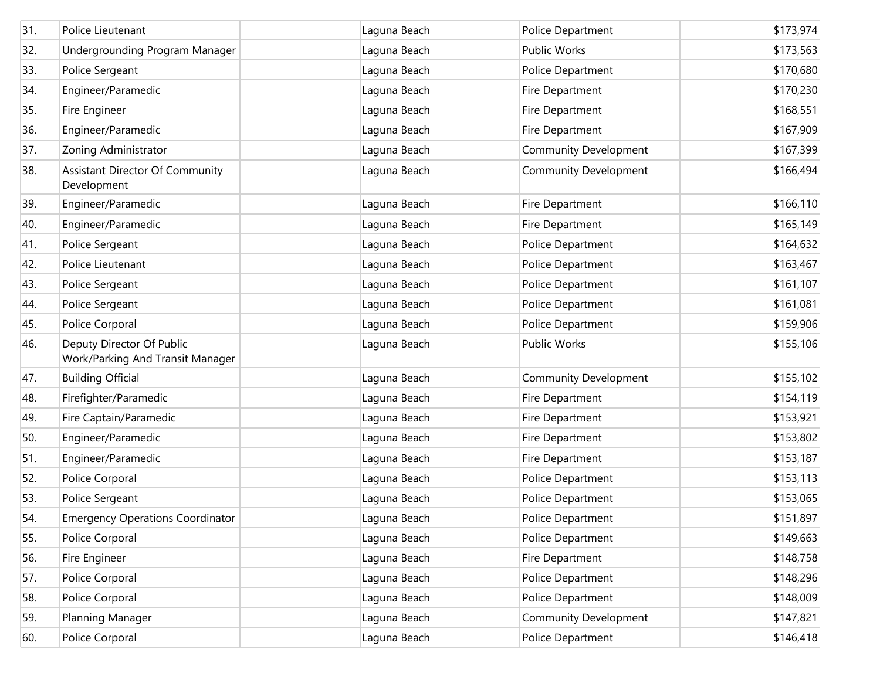| 31. | Police Lieutenant                                             | Laguna Beach | Police Department            | \$173,974 |
|-----|---------------------------------------------------------------|--------------|------------------------------|-----------|
| 32. | Undergrounding Program Manager                                | Laguna Beach | Public Works                 | \$173,563 |
| 33. | Police Sergeant                                               | Laguna Beach | Police Department            | \$170,680 |
| 34. | Engineer/Paramedic                                            | Laguna Beach | Fire Department              | \$170,230 |
| 35. | Fire Engineer                                                 | Laguna Beach | Fire Department              | \$168,551 |
| 36. | Engineer/Paramedic                                            | Laguna Beach | Fire Department              | \$167,909 |
| 37. | Zoning Administrator                                          | Laguna Beach | <b>Community Development</b> | \$167,399 |
| 38. | <b>Assistant Director Of Community</b><br>Development         | Laguna Beach | <b>Community Development</b> | \$166,494 |
| 39. | Engineer/Paramedic                                            | Laguna Beach | Fire Department              | \$166,110 |
| 40. | Engineer/Paramedic                                            | Laguna Beach | Fire Department              | \$165,149 |
| 41. | Police Sergeant                                               | Laguna Beach | Police Department            | \$164,632 |
| 42. | Police Lieutenant                                             | Laguna Beach | Police Department            | \$163,467 |
| 43. | Police Sergeant                                               | Laguna Beach | Police Department            | \$161,107 |
| 44. | Police Sergeant                                               | Laguna Beach | Police Department            | \$161,081 |
| 45. | Police Corporal                                               | Laguna Beach | Police Department            | \$159,906 |
| 46. | Deputy Director Of Public<br>Work/Parking And Transit Manager | Laguna Beach | Public Works                 | \$155,106 |
| 47. | <b>Building Official</b>                                      | Laguna Beach | <b>Community Development</b> | \$155,102 |
| 48. | Firefighter/Paramedic                                         | Laguna Beach | Fire Department              | \$154,119 |
| 49. | Fire Captain/Paramedic                                        | Laguna Beach | Fire Department              | \$153,921 |
| 50. | Engineer/Paramedic                                            | Laguna Beach | Fire Department              | \$153,802 |
| 51. | Engineer/Paramedic                                            | Laguna Beach | Fire Department              | \$153,187 |
| 52. | Police Corporal                                               | Laguna Beach | Police Department            | \$153,113 |
| 53. | Police Sergeant                                               | Laguna Beach | Police Department            | \$153,065 |
| 54. | <b>Emergency Operations Coordinator</b>                       | Laguna Beach | Police Department            | \$151,897 |
| 55. | Police Corporal                                               | Laguna Beach | Police Department            | \$149,663 |
| 56. | Fire Engineer                                                 | Laguna Beach | Fire Department              | \$148,758 |
| 57. | Police Corporal                                               | Laguna Beach | Police Department            | \$148,296 |
| 58. | Police Corporal                                               | Laguna Beach | Police Department            | \$148,009 |
| 59. | Planning Manager                                              | Laguna Beach | Community Development        | \$147,821 |
| 60. | Police Corporal                                               | Laguna Beach | Police Department            | \$146,418 |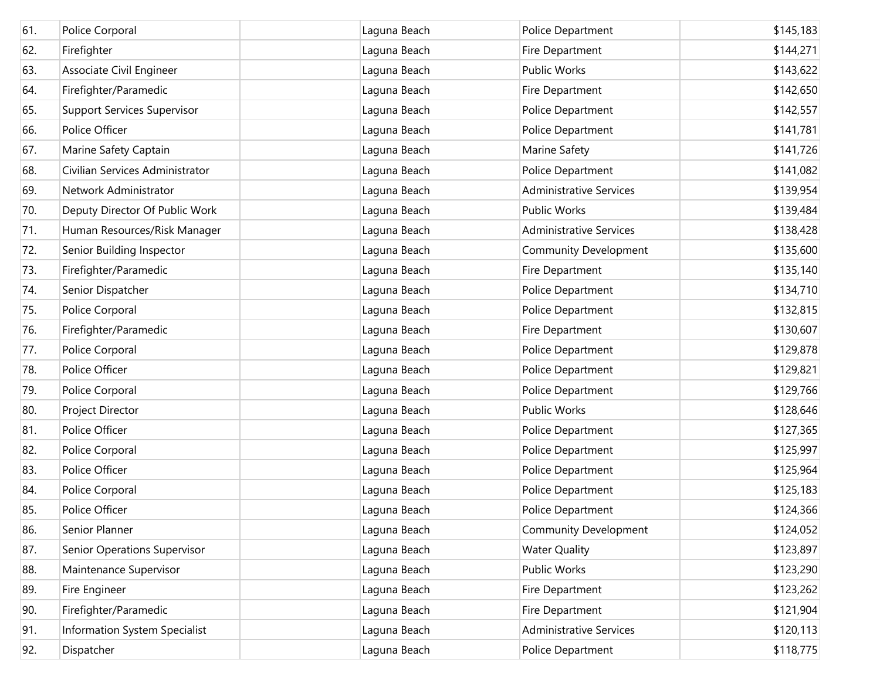| 61. | Police Corporal                    | Laguna Beach | Police Department              | \$145,183 |
|-----|------------------------------------|--------------|--------------------------------|-----------|
| 62. | Firefighter                        | Laguna Beach | Fire Department                | \$144,271 |
| 63. | Associate Civil Engineer           | Laguna Beach | Public Works                   | \$143,622 |
| 64. | Firefighter/Paramedic              | Laguna Beach | Fire Department                | \$142,650 |
| 65. | <b>Support Services Supervisor</b> | Laguna Beach | Police Department              | \$142,557 |
| 66. | Police Officer                     | Laguna Beach | Police Department              | \$141,781 |
| 67. | Marine Safety Captain              | Laguna Beach | Marine Safety                  | \$141,726 |
| 68. | Civilian Services Administrator    | Laguna Beach | Police Department              | \$141,082 |
| 69. | Network Administrator              | Laguna Beach | <b>Administrative Services</b> | \$139,954 |
| 70. | Deputy Director Of Public Work     | Laguna Beach | Public Works                   | \$139,484 |
| 71. | Human Resources/Risk Manager       | Laguna Beach | <b>Administrative Services</b> | \$138,428 |
| 72. | Senior Building Inspector          | Laguna Beach | <b>Community Development</b>   | \$135,600 |
| 73. | Firefighter/Paramedic              | Laguna Beach | Fire Department                | \$135,140 |
| 74. | Senior Dispatcher                  | Laguna Beach | Police Department              | \$134,710 |
| 75. | Police Corporal                    | Laguna Beach | Police Department              | \$132,815 |
| 76. | Firefighter/Paramedic              | Laguna Beach | Fire Department                | \$130,607 |
| 77. | Police Corporal                    | Laguna Beach | Police Department              | \$129,878 |
| 78. | Police Officer                     | Laguna Beach | Police Department              | \$129,821 |
| 79. | Police Corporal                    | Laguna Beach | Police Department              | \$129,766 |
| 80. | Project Director                   | Laguna Beach | Public Works                   | \$128,646 |
| 81. | Police Officer                     | Laguna Beach | Police Department              | \$127,365 |
| 82. | Police Corporal                    | Laguna Beach | Police Department              | \$125,997 |
| 83. | Police Officer                     | Laguna Beach | Police Department              | \$125,964 |
| 84. | Police Corporal                    | Laguna Beach | Police Department              | \$125,183 |
| 85. | Police Officer                     | Laguna Beach | Police Department              | \$124,366 |
| 86. | Senior Planner                     | Laguna Beach | <b>Community Development</b>   | \$124,052 |
| 87. | Senior Operations Supervisor       | Laguna Beach | <b>Water Quality</b>           | \$123,897 |
| 88. | Maintenance Supervisor             | Laguna Beach | Public Works                   | \$123,290 |
| 89. | Fire Engineer                      | Laguna Beach | Fire Department                | \$123,262 |
| 90. | Firefighter/Paramedic              | Laguna Beach | Fire Department                | \$121,904 |
| 91. | Information System Specialist      | Laguna Beach | <b>Administrative Services</b> | \$120,113 |
| 92. | Dispatcher                         | Laguna Beach | Police Department              | \$118,775 |